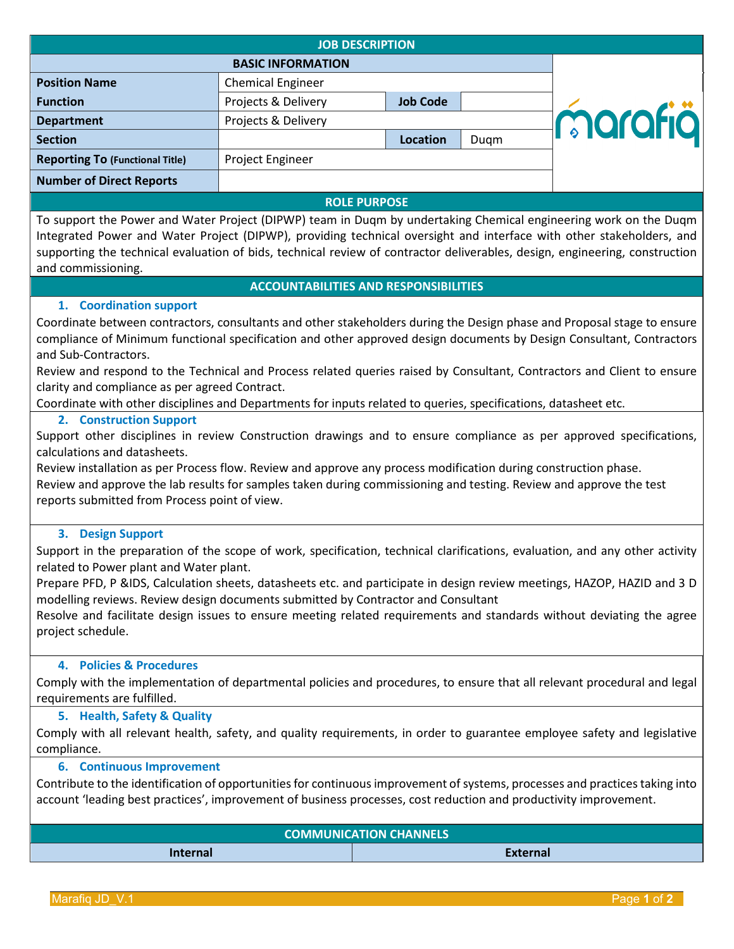| <b>JOB DESCRIPTION</b>                                                                                                                                                                                                                                         |                          |                 |      |         |  |
|----------------------------------------------------------------------------------------------------------------------------------------------------------------------------------------------------------------------------------------------------------------|--------------------------|-----------------|------|---------|--|
|                                                                                                                                                                                                                                                                | <b>BASIC INFORMATION</b> |                 |      |         |  |
| <b>Position Name</b>                                                                                                                                                                                                                                           | <b>Chemical Engineer</b> |                 |      |         |  |
| <b>Function</b>                                                                                                                                                                                                                                                | Projects & Delivery      | <b>Job Code</b> |      |         |  |
| <b>Department</b>                                                                                                                                                                                                                                              | Projects & Delivery      |                 |      | marafiä |  |
| <b>Section</b>                                                                                                                                                                                                                                                 |                          | <b>Location</b> | Dugm |         |  |
| <b>Reporting To (Functional Title)</b>                                                                                                                                                                                                                         | Project Engineer         |                 |      |         |  |
| <b>Number of Direct Reports</b>                                                                                                                                                                                                                                |                          |                 |      |         |  |
| $R_{1}$ $R_{2}$ $R_{3}$ $R_{4}$ $R_{5}$ $R_{6}$ $R_{7}$ $R_{8}$ $R_{9}$ $R_{1}$ $R_{1}$ $R_{2}$ $R_{3}$ $R_{4}$ $R_{5}$ $R_{6}$ $R_{7}$ $R_{8}$ $R_{9}$ $R_{1}$ $R_{1}$ $R_{2}$ $R_{3}$ $R_{4}$ $R_{5}$ $R_{6}$ $R_{7}$ $R_{8}$ $R_{9}$ $R_{1}$ $R_{1}$ $R_{2$ |                          |                 |      |         |  |

#### **ROLE PURPOSE**

To support the Power and Water Project (DIPWP) team in Duqm by undertaking Chemical engineering work on the Duqm Integrated Power and Water Project (DIPWP), providing technical oversight and interface with other stakeholders, and supporting the technical evaluation of bids, technical review of contractor deliverables, design, engineering, construction and commissioning.

## **ACCOUNTABILITIES AND RESPONSIBILITIES**

## **1. Coordination support**

Coordinate between contractors, consultants and other stakeholders during the Design phase and Proposal stage to ensure compliance of Minimum functional specification and other approved design documents by Design Consultant, Contractors and Sub-Contractors.

Review and respond to the Technical and Process related queries raised by Consultant, Contractors and Client to ensure clarity and compliance as per agreed Contract.

Coordinate with other disciplines and Departments for inputs related to queries, specifications, datasheet etc.

#### **2. Construction Support**

Support other disciplines in review Construction drawings and to ensure compliance as per approved specifications, calculations and datasheets.

Review installation as per Process flow. Review and approve any process modification during construction phase. Review and approve the lab results for samples taken during commissioning and testing. Review and approve the test reports submitted from Process point of view.

### **3. Design Support**

Support in the preparation of the scope of work, specification, technical clarifications, evaluation, and any other activity related to Power plant and Water plant.

Prepare PFD, P &IDS, Calculation sheets, datasheets etc. and participate in design review meetings, HAZOP, HAZID and 3 D modelling reviews. Review design documents submitted by Contractor and Consultant

Resolve and facilitate design issues to ensure meeting related requirements and standards without deviating the agree project schedule.

### **4. Policies & Procedures**

Comply with the implementation of departmental policies and procedures, to ensure that all relevant procedural and legal requirements are fulfilled.

#### **5. Health, Safety & Quality**

Comply with all relevant health, safety, and quality requirements, in order to guarantee employee safety and legislative compliance.

#### **6. Continuous Improvement**

Contribute to the identification of opportunities for continuous improvement of systems, processes and practices taking into account 'leading best practices', improvement of business processes, cost reduction and productivity improvement.

| <b>COMMUNICATION CHANNELS</b> |          |  |  |
|-------------------------------|----------|--|--|
| Internal                      | External |  |  |

Marafiq JD\_V.1 Page **1** of **2**